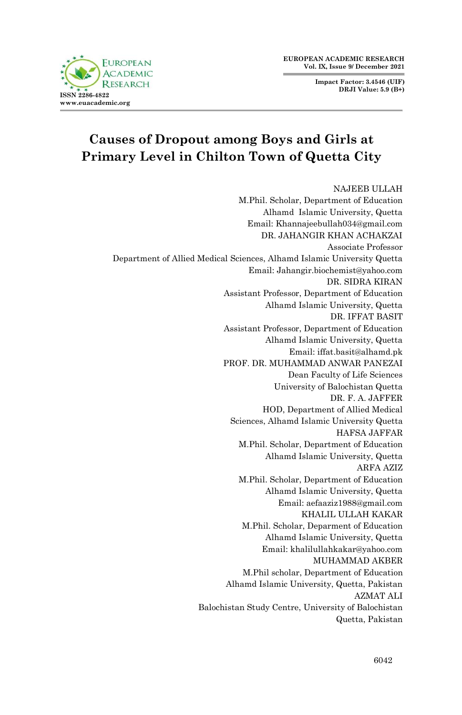**Impact Factor: 3.4546 (UIF) DRJI Value: 5.9 (B+)**



# **Causes of Dropout among Boys and Girls at Primary Level in Chilton Town of Quetta City**

NAJEEB ULLAH M.Phil. Scholar, Department of Education Alhamd Islamic University, Quetta Email: Khannajeebullah034@gmail.com DR. JAHANGIR KHAN ACHAKZAI Associate Professor Department of Allied Medical Sciences, Alhamd Islamic University Quetta Email: Jahangir.biochemist@yahoo.com DR. SIDRA KIRAN Assistant Professor, Department of Education Alhamd Islamic University, Quetta DR. IFFAT BASIT Assistant Professor, Department of Education Alhamd Islamic University, Quetta Email: iffat.basit@alhamd.pk PROF. DR. MUHAMMAD ANWAR PANEZAI Dean Faculty of Life Sciences University of Balochistan Quetta DR. F. A. JAFFER HOD, Department of Allied Medical Sciences, Alhamd Islamic University Quetta HAFSA JAFFAR M.Phil. Scholar, Department of Education Alhamd Islamic University, Quetta ARFA AZIZ M.Phil. Scholar, Department of Education Alhamd Islamic University, Quetta Email: aefaaziz1988@gmail.com KHALIL ULLAH KAKAR M.Phil. Scholar, Deparment of Education Alhamd Islamic University, Quetta Email: khalilullahkakar@yahoo.com MUHAMMAD AKBER M.Phil scholar, Department of Education Alhamd Islamic University, Quetta, Pakistan AZMAT ALI Balochistan Study Centre, University of Balochistan Quetta, Pakistan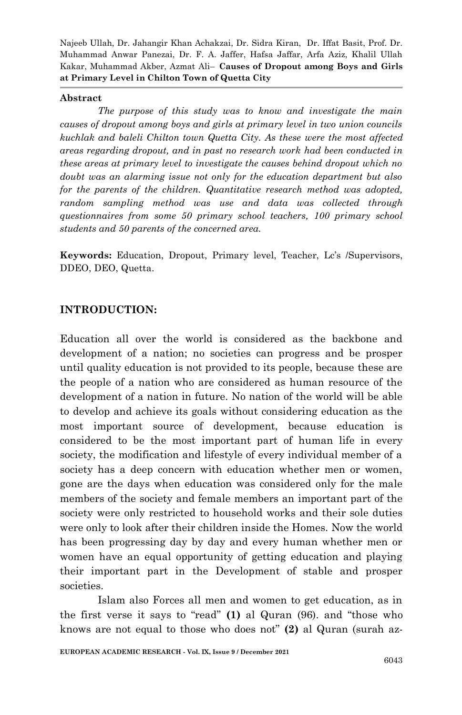#### **Abstract**

*The purpose of this study was to know and investigate the main causes of dropout among boys and girls at primary level in two union councils kuchlak and baleli Chilton town Quetta City. As these were the most affected areas regarding dropout, and in past no research work had been conducted in these areas at primary level to investigate the causes behind dropout which no doubt was an alarming issue not only for the education department but also for the parents of the children. Quantitative research method was adopted, random sampling method was use and data was collected through questionnaires from some 50 primary school teachers, 100 primary school students and 50 parents of the concerned area.*

**Keywords:** Education, Dropout, Primary level, Teacher, Lc"s /Supervisors, DDEO, DEO, Quetta.

#### **INTRODUCTION:**

Education all over the world is considered as the backbone and development of a nation; no societies can progress and be prosper until quality education is not provided to its people, because these are the people of a nation who are considered as human resource of the development of a nation in future. No nation of the world will be able to develop and achieve its goals without considering education as the most important source of development, because education is considered to be the most important part of human life in every society, the modification and lifestyle of every individual member of a society has a deep concern with education whether men or women, gone are the days when education was considered only for the male members of the society and female members an important part of the society were only restricted to household works and their sole duties were only to look after their children inside the Homes. Now the world has been progressing day by day and every human whether men or women have an equal opportunity of getting education and playing their important part in the Development of stable and prosper societies.

Islam also Forces all men and women to get education, as in the first verse it says to "read" **(1)** al Quran (96). and "those who knows are not equal to those who does not" **(2)** al Quran (surah az-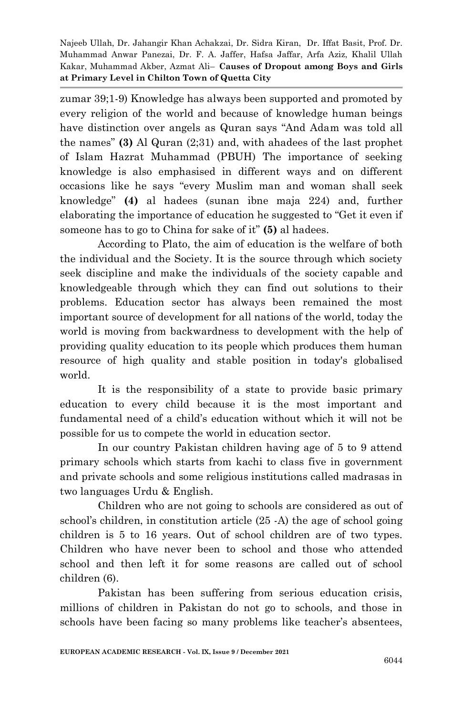zumar 39;1-9) Knowledge has always been supported and promoted by every religion of the world and because of knowledge human beings have distinction over angels as Quran says "And Adam was told all the names" **(3)** Al Quran (2;31) and, with ahadees of the last prophet of Islam Hazrat Muhammad (PBUH) The importance of seeking knowledge is also emphasised in different ways and on different occasions like he says "every Muslim man and woman shall seek knowledge" **(4)** al hadees (sunan ibne maja 224) and, further elaborating the importance of education he suggested to "Get it even if someone has to go to China for sake of it" **(5)** al hadees.

According to Plato, the aim of education is the welfare of both the individual and the Society. It is the source through which society seek discipline and make the individuals of the society capable and knowledgeable through which they can find out solutions to their problems. Education sector has always been remained the most important source of development for all nations of the world, today the world is moving from backwardness to development with the help of providing quality education to its people which produces them human resource of high quality and stable position in today's globalised world.

It is the responsibility of a state to provide basic primary education to every child because it is the most important and fundamental need of a child"s education without which it will not be possible for us to compete the world in education sector.

In our country Pakistan children having age of 5 to 9 attend primary schools which starts from kachi to class five in government and private schools and some religious institutions called madrasas in two languages Urdu & English.

Children who are not going to schools are considered as out of school"s children, in constitution article (25 -A) the age of school going children is 5 to 16 years. Out of school children are of two types. Children who have never been to school and those who attended school and then left it for some reasons are called out of school children (6).

Pakistan has been suffering from serious education crisis, millions of children in Pakistan do not go to schools, and those in schools have been facing so many problems like teacher"s absentees,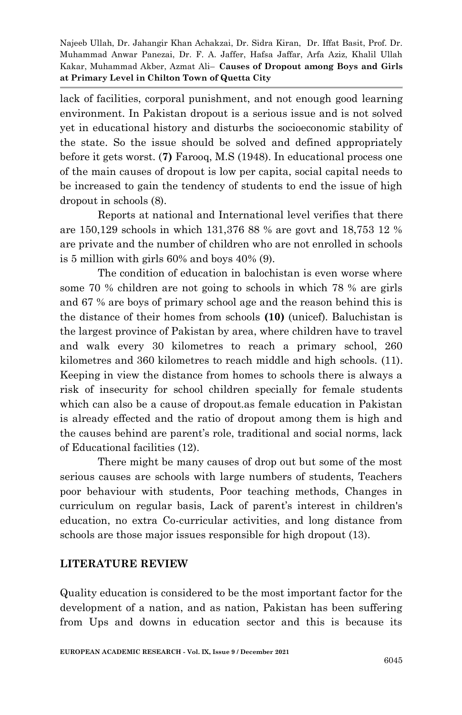lack of facilities, corporal punishment, and not enough good learning environment. In Pakistan dropout is a serious issue and is not solved yet in educational history and disturbs the socioeconomic stability of the state. So the issue should be solved and defined appropriately before it gets worst. (**7)** Farooq, M.S (1948). In educational process one of the main causes of dropout is low per capita, social capital needs to be increased to gain the tendency of students to end the issue of high dropout in schools (8).

Reports at national and International level verifies that there are 150,129 schools in which 131,376 88 % are govt and 18,753 12 % are private and the number of children who are not enrolled in schools is 5 million with girls 60% and boys 40% (9).

The condition of education in balochistan is even worse where some 70 % children are not going to schools in which 78 % are girls and 67 % are boys of primary school age and the reason behind this is the distance of their homes from schools **(10)** (unicef). Baluchistan is the largest province of Pakistan by area, where children have to travel and walk every 30 kilometres to reach a primary school, 260 kilometres and 360 kilometres to reach middle and high schools. (11). Keeping in view the distance from homes to schools there is always a risk of insecurity for school children specially for female students which can also be a cause of dropout.as female education in Pakistan is already effected and the ratio of dropout among them is high and the causes behind are parent"s role, traditional and social norms, lack of Educational facilities (12).

There might be many causes of drop out but some of the most serious causes are schools with large numbers of students, Teachers poor behaviour with students, Poor teaching methods, Changes in curriculum on regular basis, Lack of parent"s interest in children's education, no extra Co-curricular activities, and long distance from schools are those major issues responsible for high dropout (13).

### **LITERATURE REVIEW**

Quality education is considered to be the most important factor for the development of a nation, and as nation, Pakistan has been suffering from Ups and downs in education sector and this is because its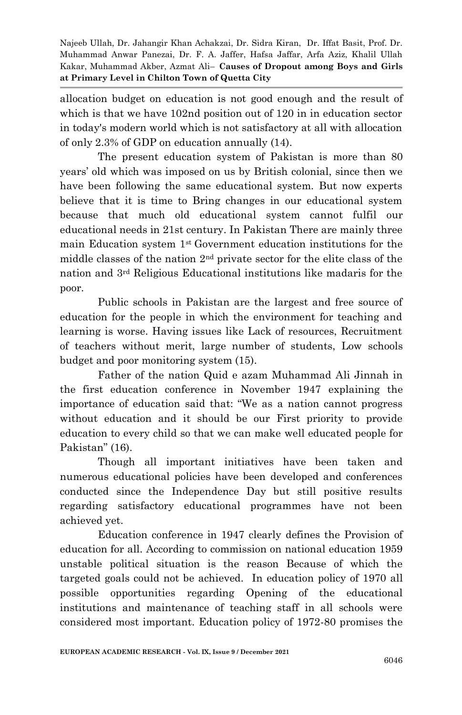allocation budget on education is not good enough and the result of which is that we have 102nd position out of 120 in in education sector in today's modern world which is not satisfactory at all with allocation of only 2.3% of GDP on education annually (14).

The present education system of Pakistan is more than 80 years" old which was imposed on us by British colonial, since then we have been following the same educational system. But now experts believe that it is time to Bring changes in our educational system because that much old educational system cannot fulfil our educational needs in 21st century. In Pakistan There are mainly three main Education system 1st Government education institutions for the middle classes of the nation  $2<sup>nd</sup>$  private sector for the elite class of the nation and 3rd Religious Educational institutions like madaris for the poor.

Public schools in Pakistan are the largest and free source of education for the people in which the environment for teaching and learning is worse. Having issues like Lack of resources, Recruitment of teachers without merit, large number of students, Low schools budget and poor monitoring system (15).

Father of the nation Quid e azam Muhammad Ali Jinnah in the first education conference in November 1947 explaining the importance of education said that: "We as a nation cannot progress without education and it should be our First priority to provide education to every child so that we can make well educated people for Pakistan" (16).

Though all important initiatives have been taken and numerous educational policies have been developed and conferences conducted since the Independence Day but still positive results regarding satisfactory educational programmes have not been achieved yet.

Education conference in 1947 clearly defines the Provision of education for all. According to commission on national education 1959 unstable political situation is the reason Because of which the targeted goals could not be achieved. In education policy of 1970 all possible opportunities regarding Opening of the educational institutions and maintenance of teaching staff in all schools were considered most important. Education policy of 1972-80 promises the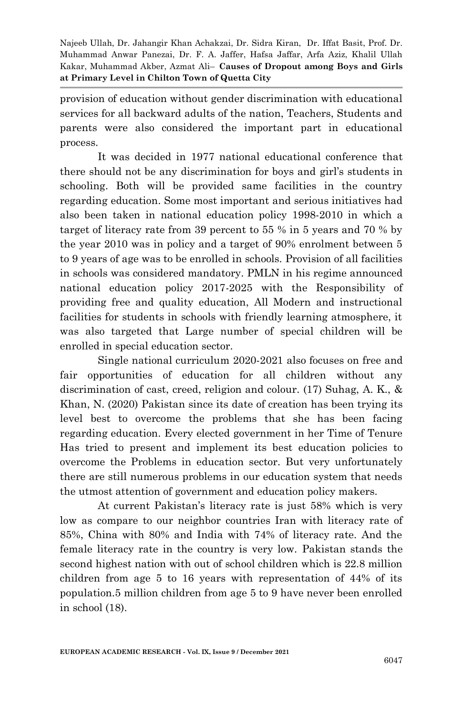provision of education without gender discrimination with educational services for all backward adults of the nation, Teachers, Students and parents were also considered the important part in educational process.

It was decided in 1977 national educational conference that there should not be any discrimination for boys and girl"s students in schooling. Both will be provided same facilities in the country regarding education. Some most important and serious initiatives had also been taken in national education policy 1998-2010 in which a target of literacy rate from 39 percent to 55 % in 5 years and 70 % by the year 2010 was in policy and a target of 90% enrolment between 5 to 9 years of age was to be enrolled in schools. Provision of all facilities in schools was considered mandatory. PMLN in his regime announced national education policy 2017-2025 with the Responsibility of providing free and quality education, All Modern and instructional facilities for students in schools with friendly learning atmosphere, it was also targeted that Large number of special children will be enrolled in special education sector.

Single national curriculum 2020-2021 also focuses on free and fair opportunities of education for all children without any discrimination of cast, creed, religion and colour. (17) Suhag, A. K., & Khan, N. (2020) Pakistan since its date of creation has been trying its level best to overcome the problems that she has been facing regarding education. Every elected government in her Time of Tenure Has tried to present and implement its best education policies to overcome the Problems in education sector. But very unfortunately there are still numerous problems in our education system that needs the utmost attention of government and education policy makers.

At current Pakistan's literacy rate is just 58% which is very low as compare to our neighbor countries Iran with literacy rate of 85%, China with 80% and India with 74% of literacy rate. And the female literacy rate in the country is very low. Pakistan stands the second highest nation with out of school children which is 22.8 million children from age 5 to 16 years with representation of 44% of its population.5 million children from age 5 to 9 have never been enrolled in school (18).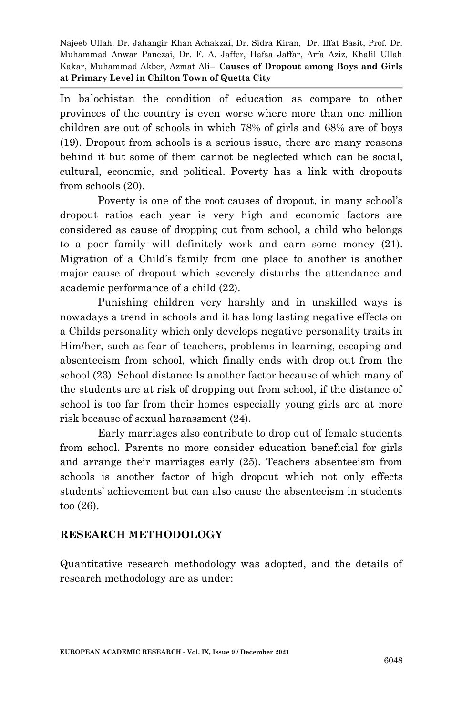In balochistan the condition of education as compare to other provinces of the country is even worse where more than one million children are out of schools in which 78% of girls and 68% are of boys (19). Dropout from schools is a serious issue, there are many reasons behind it but some of them cannot be neglected which can be social, cultural, economic, and political. Poverty has a link with dropouts from schools (20).

Poverty is one of the root causes of dropout, in many school's dropout ratios each year is very high and economic factors are considered as cause of dropping out from school, a child who belongs to a poor family will definitely work and earn some money (21). Migration of a Child"s family from one place to another is another major cause of dropout which severely disturbs the attendance and academic performance of a child (22).

Punishing children very harshly and in unskilled ways is nowadays a trend in schools and it has long lasting negative effects on a Childs personality which only develops negative personality traits in Him/her, such as fear of teachers, problems in learning, escaping and absenteeism from school, which finally ends with drop out from the school (23). School distance Is another factor because of which many of the students are at risk of dropping out from school, if the distance of school is too far from their homes especially young girls are at more risk because of sexual harassment (24).

Early marriages also contribute to drop out of female students from school. Parents no more consider education beneficial for girls and arrange their marriages early (25). Teachers absenteeism from schools is another factor of high dropout which not only effects students" achievement but can also cause the absenteeism in students too (26).

#### **RESEARCH METHODOLOGY**

Quantitative research methodology was adopted, and the details of research methodology are as under: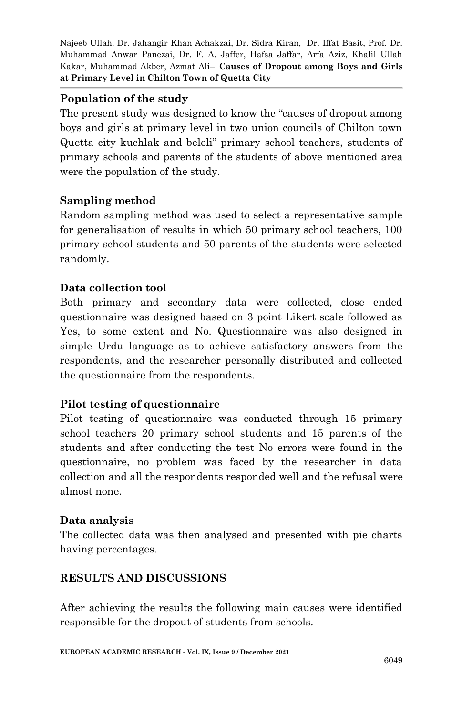#### **Population of the study**

The present study was designed to know the "causes of dropout among boys and girls at primary level in two union councils of Chilton town Quetta city kuchlak and beleli" primary school teachers, students of primary schools and parents of the students of above mentioned area were the population of the study.

#### **Sampling method**

Random sampling method was used to select a representative sample for generalisation of results in which 50 primary school teachers, 100 primary school students and 50 parents of the students were selected randomly.

#### **Data collection tool**

Both primary and secondary data were collected, close ended questionnaire was designed based on 3 point Likert scale followed as Yes, to some extent and No. Questionnaire was also designed in simple Urdu language as to achieve satisfactory answers from the respondents, and the researcher personally distributed and collected the questionnaire from the respondents.

#### **Pilot testing of questionnaire**

Pilot testing of questionnaire was conducted through 15 primary school teachers 20 primary school students and 15 parents of the students and after conducting the test No errors were found in the questionnaire, no problem was faced by the researcher in data collection and all the respondents responded well and the refusal were almost none.

#### **Data analysis**

The collected data was then analysed and presented with pie charts having percentages.

#### **RESULTS AND DISCUSSIONS**

After achieving the results the following main causes were identified responsible for the dropout of students from schools.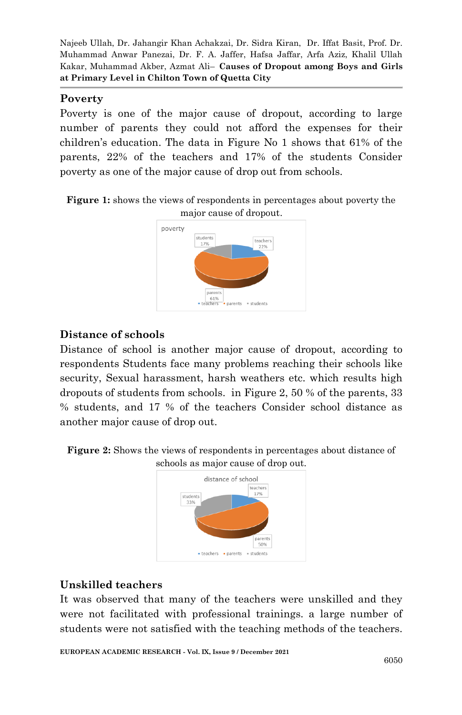### **Poverty**

Poverty is one of the major cause of dropout, according to large number of parents they could not afford the expenses for their children"s education. The data in Figure No 1 shows that 61% of the parents, 22% of the teachers and 17% of the students Consider poverty as one of the major cause of drop out from schools.

**Figure 1:** shows the views of respondents in percentages about poverty the major cause of dropout.



# **Distance of schools**

Distance of school is another major cause of dropout, according to respondents Students face many problems reaching their schools like security, Sexual harassment, harsh weathers etc. which results high dropouts of students from schools. in Figure 2, 50 % of the parents, 33 % students, and 17 % of the teachers Consider school distance as another major cause of drop out.

**Figure 2:** Shows the views of respondents in percentages about distance of schools as major cause of drop out.



### **Unskilled teachers**

It was observed that many of the teachers were unskilled and they were not facilitated with professional trainings. a large number of students were not satisfied with the teaching methods of the teachers.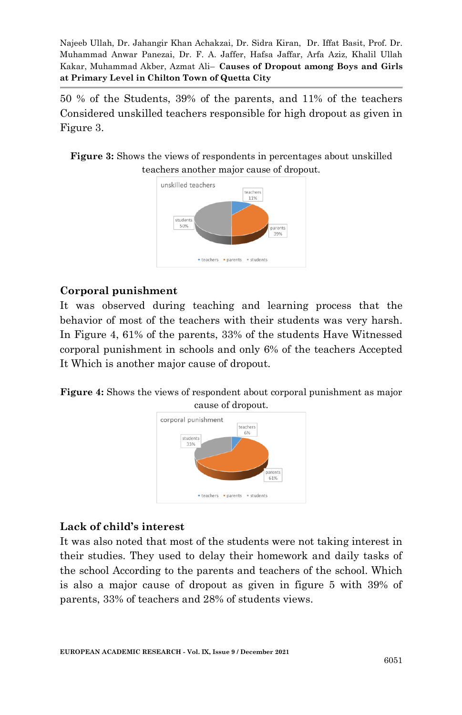50 % of the Students, 39% of the parents, and 11% of the teachers Considered unskilled teachers responsible for high dropout as given in Figure 3.

#### **Figure 3:** Shows the views of respondents in percentages about unskilled teachers another major cause of dropout.



#### **Corporal punishment**

It was observed during teaching and learning process that the behavior of most of the teachers with their students was very harsh. In Figure 4, 61% of the parents, 33% of the students Have Witnessed corporal punishment in schools and only 6% of the teachers Accepted It Which is another major cause of dropout.





### **Lack of child's interest**

It was also noted that most of the students were not taking interest in their studies. They used to delay their homework and daily tasks of the school According to the parents and teachers of the school. Which is also a major cause of dropout as given in figure 5 with 39% of parents, 33% of teachers and 28% of students views.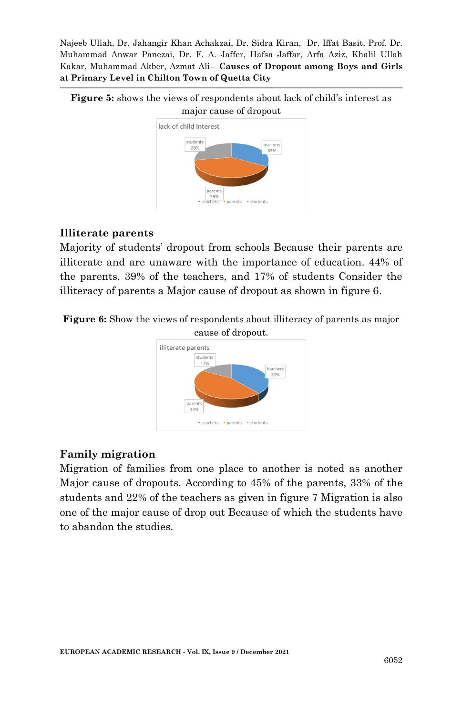**Figure 5:** shows the views of respondents about lack of child's interest as major cause of dropout



#### **Illiterate parents**

Majority of students" dropout from schools Because their parents are illiterate and are unaware with the importance of education. 44% of the parents, 39% of the teachers, and 17% of students Consider the illiteracy of parents a Major cause of dropout as shown in figure 6.





#### **Family migration**

Migration of families from one place to another is noted as another Major cause of dropouts. According to 45% of the parents, 33% of the students and 22% of the teachers as given in figure 7 Migration is also one of the major cause of drop out Because of which the students have to abandon the studies.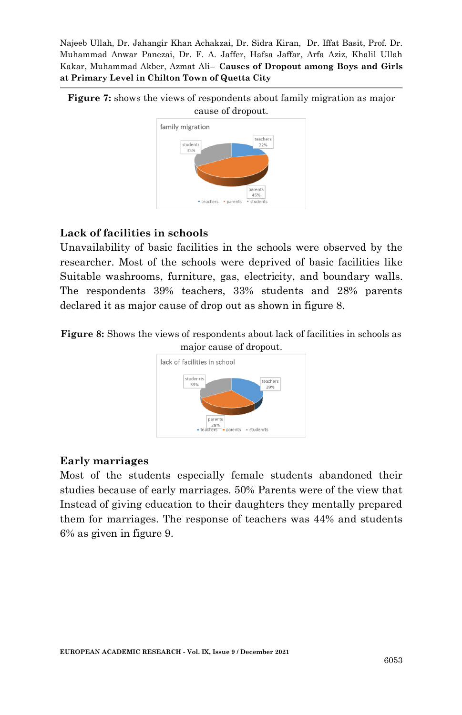**Figure 7:** shows the views of respondents about family migration as major cause of dropout.



# **Lack of facilities in schools**

Unavailability of basic facilities in the schools were observed by the researcher. Most of the schools were deprived of basic facilities like Suitable washrooms, furniture, gas, electricity, and boundary walls. The respondents 39% teachers, 33% students and 28% parents declared it as major cause of drop out as shown in figure 8.





### **Early marriages**

Most of the students especially female students abandoned their studies because of early marriages. 50% Parents were of the view that Instead of giving education to their daughters they mentally prepared them for marriages. The response of teachers was 44% and students 6% as given in figure 9.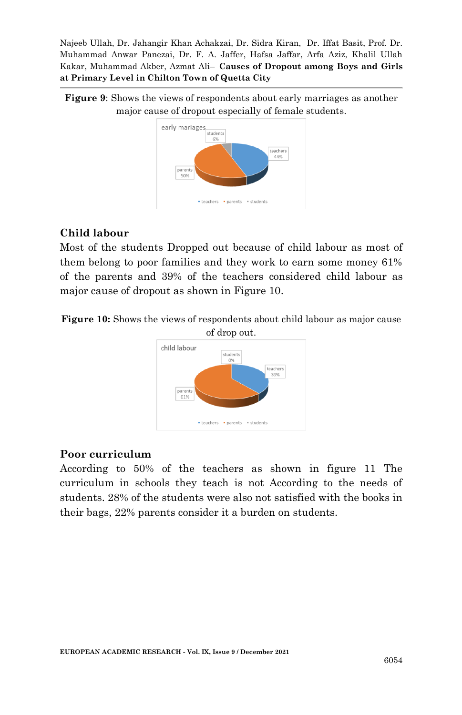**Figure 9**: Shows the views of respondents about early marriages as another major cause of dropout especially of female students.



#### **Child labour**

Most of the students Dropped out because of child labour as most of them belong to poor families and they work to earn some money 61% of the parents and 39% of the teachers considered child labour as major cause of dropout as shown in Figure 10.





#### **Poor curriculum**

According to 50% of the teachers as shown in figure 11 The curriculum in schools they teach is not According to the needs of students. 28% of the students were also not satisfied with the books in their bags, 22% parents consider it a burden on students.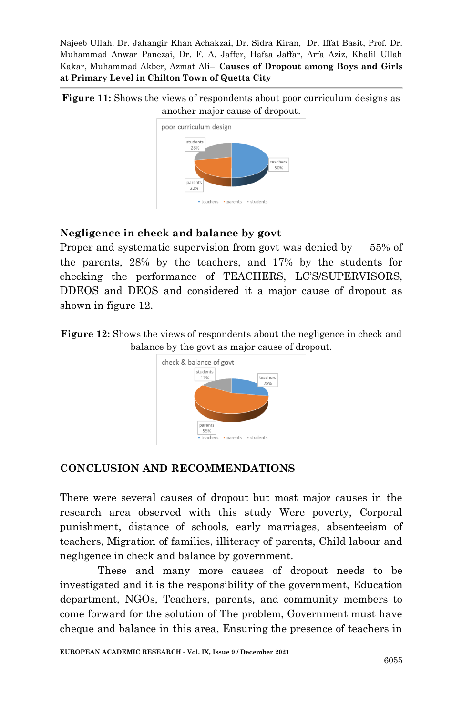**Figure 11:** Shows the views of respondents about poor curriculum designs as another major cause of dropout.



# **Negligence in check and balance by govt**

Proper and systematic supervision from govt was denied by 55% of the parents, 28% by the teachers, and 17% by the students for checking the performance of TEACHERS, LC"S/SUPERVISORS, DDEOS and DEOS and considered it a major cause of dropout as shown in figure 12.

**Figure 12:** Shows the views of respondents about the negligence in check and balance by the govt as major cause of dropout.



### **CONCLUSION AND RECOMMENDATIONS**

There were several causes of dropout but most major causes in the research area observed with this study Were poverty, Corporal punishment, distance of schools, early marriages, absenteeism of teachers, Migration of families, illiteracy of parents, Child labour and negligence in check and balance by government.

These and many more causes of dropout needs to be investigated and it is the responsibility of the government, Education department, NGOs, Teachers, parents, and community members to come forward for the solution of The problem, Government must have cheque and balance in this area, Ensuring the presence of teachers in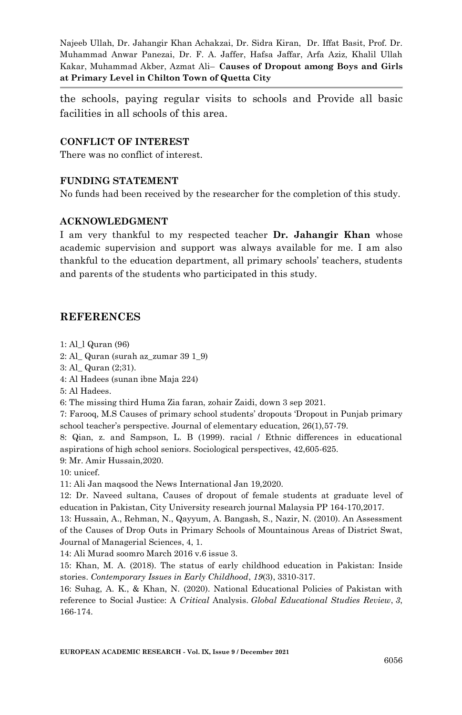the schools, paying regular visits to schools and Provide all basic facilities in all schools of this area.

#### **CONFLICT OF INTEREST**

There was no conflict of interest.

#### **FUNDING STATEMENT**

No funds had been received by the researcher for the completion of this study.

#### **ACKNOWLEDGMENT**

I am very thankful to my respected teacher **Dr. Jahangir Khan** whose academic supervision and support was always available for me. I am also thankful to the education department, all primary schools" teachers, students and parents of the students who participated in this study.

#### **REFERENCES**

1: Al\_l Quran (96)

2: Al $Quran$  (surah az zumar 39 1–9)

3: Al\_ Quran (2;31).

4: Al Hadees (sunan ibne Maja 224)

5: Al Hadees.

6: The missing third Huma Zia faran, zohair Zaidi, down 3 sep 2021.

7: Farooq, M.S Causes of primary school students" dropouts "Dropout in Punjab primary school teacher's perspective. Journal of elementary education, 26(1), 57-79.

8: Qian, z. and Sampson, L. B (1999). racial / Ethnic differences in educational aspirations of high school seniors. Sociological perspectives, 42,605-625.

9: Mr. Amir Hussain,2020.

10: unicef.

11: Ali Jan maqsood the News International Jan 19,2020.

12: Dr. Naveed sultana, Causes of dropout of female students at graduate level of education in Pakistan, City University research journal Malaysia PP 164-170,2017.

13: Hussain, A., Rehman, N., Qayyum, A. Bangash, S., Nazir, N. (2010). An Assessment of the Causes of Drop Outs in Primary Schools of Mountainous Areas of District Swat, Journal of Managerial Sciences, 4, 1.

14: Ali Murad soomro March 2016 v.6 issue 3.

15: Khan, M. A. (2018). The status of early childhood education in Pakistan: Inside stories. *Contemporary Issues in Early Childhood*, *19*(3), 3310-317.

16: Suhag, A. K., & Khan, N. (2020). National Educational Policies of Pakistan with reference to Social Justice: A *Critical* Analysis. *Global Educational Studies Review*, *3*, 166-174.